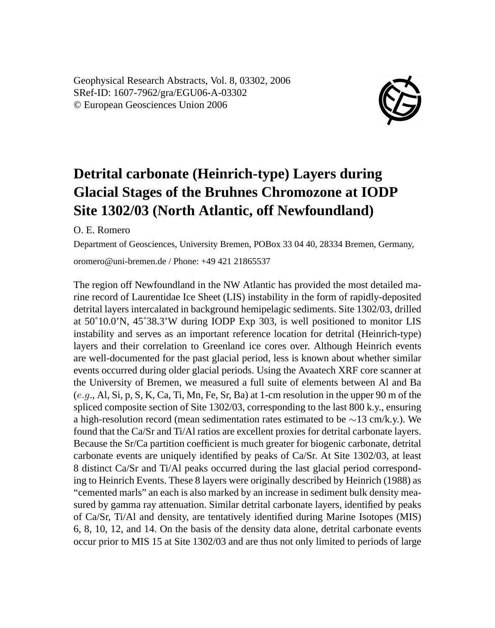Geophysical Research Abstracts, Vol. 8, 03302, 2006 SRef-ID: 1607-7962/gra/EGU06-A-03302 © European Geosciences Union 2006



## **Detrital carbonate (Heinrich-type) Layers during Glacial Stages of the Bruhnes Chromozone at IODP Site 1302/03 (North Atlantic, off Newfoundland)**

O. E. Romero

Department of Geosciences, University Bremen, POBox 33 04 40, 28334 Bremen, Germany,

oromero@uni-bremen.de / Phone: +49 421 21865537

The region off Newfoundland in the NW Atlantic has provided the most detailed marine record of Laurentidae Ice Sheet (LIS) instability in the form of rapidly-deposited detrital layers intercalated in background hemipelagic sediments. Site 1302/03, drilled at 50˚10.0'N, 45˚38.3'W during IODP Exp 303, is well positioned to monitor LIS instability and serves as an important reference location for detrital (Heinrich-type) layers and their correlation to Greenland ice cores over. Although Heinrich events are well-documented for the past glacial period, less is known about whether similar events occurred during older glacial periods. Using the Avaatech XRF core scanner at the University of Bremen, we measured a full suite of elements between Al and Ba  $(e.g., A1, Si, p, S, K, Ca, Ti, Mn, Fe, Sr, Ba)$  at 1-cm resolution in the upper 90 m of the spliced composite section of Site 1302/03, corresponding to the last 800 k.y., ensuring a high-resolution record (mean sedimentation rates estimated to be ∼13 cm/k.y.). We found that the Ca/Sr and Ti/Al ratios are excellent proxies for detrital carbonate layers. Because the Sr/Ca partition coefficient is much greater for biogenic carbonate, detrital carbonate events are uniquely identified by peaks of Ca/Sr. At Site 1302/03, at least 8 distinct Ca/Sr and Ti/Al peaks occurred during the last glacial period corresponding to Heinrich Events. These 8 layers were originally described by Heinrich (1988) as "cemented marls" an each is also marked by an increase in sediment bulk density measured by gamma ray attenuation. Similar detrital carbonate layers, identified by peaks of Ca/Sr, Ti/Al and density, are tentatively identified during Marine Isotopes (MIS) 6, 8, 10, 12, and 14. On the basis of the density data alone, detrital carbonate events occur prior to MIS 15 at Site 1302/03 and are thus not only limited to periods of large